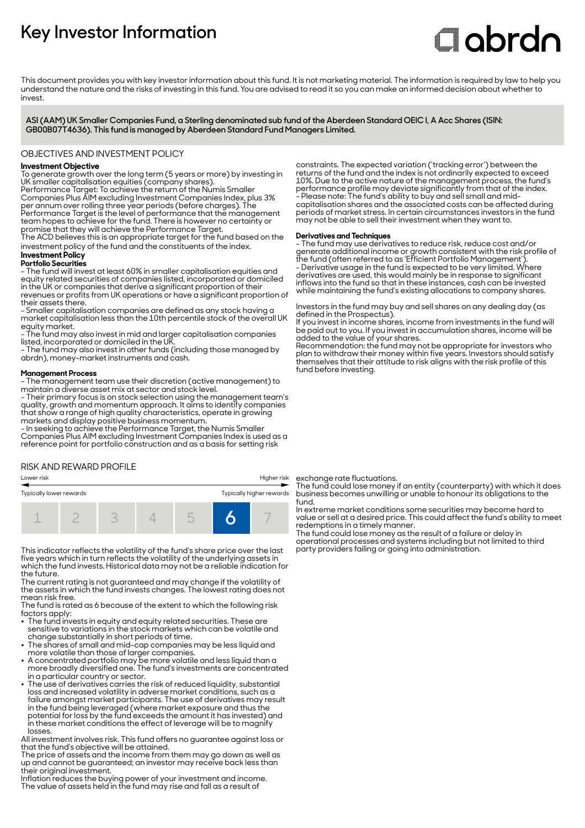## **Key Investor Information**

# **Clobrdn**

This document provides you with key investor information about this fund. It is not marketing material. The information is required by law to help you understand the nature and the risks of investing in this fund. You are advised to read it so you can make an informed decision about whether to invest

**ASI (AAM) UK Smaller Companies Fund, a Sterling denominated sub fund of the Aberdeen Standard OEIC I, A Acc Shares (ISIN: GB00B07T4636). This fund is managed by Aberdeen Standard Fund Managers Limited.**

#### OBJECTIVES AND INVESTMENT POLICY

#### **Investment Objective**

To generate growth over the long term (5 years or more) by investing in UK smaller capitalisation equities (company shares).

Performance Target: To achieve the return of the Numis Smaller Companies Plus AIM excluding Investment Companies Index, plus 3% per annum over rolling three year periods (before charges). The Performance Target is the level of performance that the management team hopes to achieve for the fund. There is however no certainty or promise that they will achieve the Performance Target.

The ACD believes this is an appropriate target for the fund based on the investment policy of the fund and the constituents of the index.

#### **Investment Policy Portfolio Securities**

- The fund will invest at least 60% in smaller capitalisation equities and equity related securities of companies listed, incorporated or domiciled in the UK or companies that derive a significant proportion of their revenues or profits from UK operations or have a significant proportion of their assets there.

- Smaller capitalisation companies are defined as any stock having a market capitalisation less than the 10th percentile stock of the overall UK equity market.

- The fund may also invest in mid and larger capitalisation companies listed, incorporated or domiciled in the UK.

- The fund may also invest in other funds (including those managed by abrdn), money-market instruments and cash.

#### **Management Process**

- The management team use their discretion (active management) to maintain a diverse asset mix at sector and stock level.

- Their primary focus is on stock selection using the management team's quality, growth and momentum approach. It aims to identify companies that show a range of high quality characteristics, operate in growing markets and display positive business momentum.

- In seeking to achieve the Performance Target, the Numis Smaller Companies Plus AIM excluding Investment Companies Index is used as a reference point for portfolio construction and as a basis for setting risk

#### RISK AND REWARD PROFILE

| Typically higher rewards<br>Typically lower rewards |  |  |  |  |  |   |
|-----------------------------------------------------|--|--|--|--|--|---|
|                                                     |  |  |  |  |  | - |

This indicator reflects the volatility of the fund's share price over the last five years which in turn reflects the volatility of the underlying assets in which the fund invests. Historical data may not be a reliable indication for the future.

The current rating is not guaranteed and may change if the volatility of the assets in which the fund invests changes. The lowest rating does not mean risk free.

The fund is rated as 6 because of the extent to which the following risk factors apply: 2 The fund invests in equity and equity related securities. These are

- sensitive to variations in the stock markets which can be volatile and change substantially in short periods of time. 2 The shares of small and mid-cap companies may be less liquid and
- more volatile than those of larger companies. 2 A concentrated portfolio may be more volatile and less liquid than a
- more broadly diversified one. The fund's investments are concentrated in a particular country or sector.
- The use of derivatives carries the risk of reduced liquidity, substantial loss and increased volatility in adverse market conditions, such as a failure amongst market participants. The use of derivatives may result in the fund being leveraged (where market exposure and thus the potential for loss by the fund exceeds the amount it has invested) and in these market conditions the effect of leverage will be to magnify losses.

All investment involves risk. This fund offers no guarantee against loss or that the fund's objective will be attained.

The price of assets and the income from them may go down as well as up and cannot be guaranteed; an investor may receive back less than their original investment.

Inflation reduces the buying power of your investment and income. The value of assets held in the fund may rise and fall as a result of

constraints. The expected variation ('tracking error') between the returns of the fund and the index is not ordinarily expected to exceed 10%. Due to the active nature of the management process, the fund's performance profile may deviate significantly from that of the index. - Please note: The fund's ability to buy and sell small and midcapitalisation shares and the associated costs can be affected during periods of market stress. In certain circumstances investors in the fund may not be able to sell their investment when they want to.

#### **Derivatives and Techniques**

- The fund may use derivatives to reduce risk, reduce cost and/or generate additional income or growth consistent with the risk profile of the fund (often referred to as 'Efficient Portfolio Management'). - Derivative usage in the fund is expected to be very limited. Where derivatives are used, this would mainly be in response to significant inflows into the fund so that in these instances, cash can be invested while maintaining the fund's existing allocations to company shares.

Investors in the fund may buy and sell shares on any dealing day (as defined in the Prospectus).

If you invest in income shares, income from investments in the fund will be paid out to you. If you invest in accumulation shares, income will be added to the value of your shares.

Recommendation: the fund may not be appropriate for investors who plan to withdraw their money within five years. Investors should satisfy themselves that their attitude to risk aligns with the risk profile of this fund before investing.

Lower risk Higher risk exchange rate fluctuations.

The fund could lose money if an entity (counterparty) with which it does business becomes unwilling or unable to honour its obligations to the fund.

In extreme market conditions some securities may become hard to value or sell at a desired price. This could affect the fund's ability to meet redemptions in a timely manner.

The fund could lose money as the result of a failure or delay in operational processes and systems including but not limited to third party providers failing or going into administration.